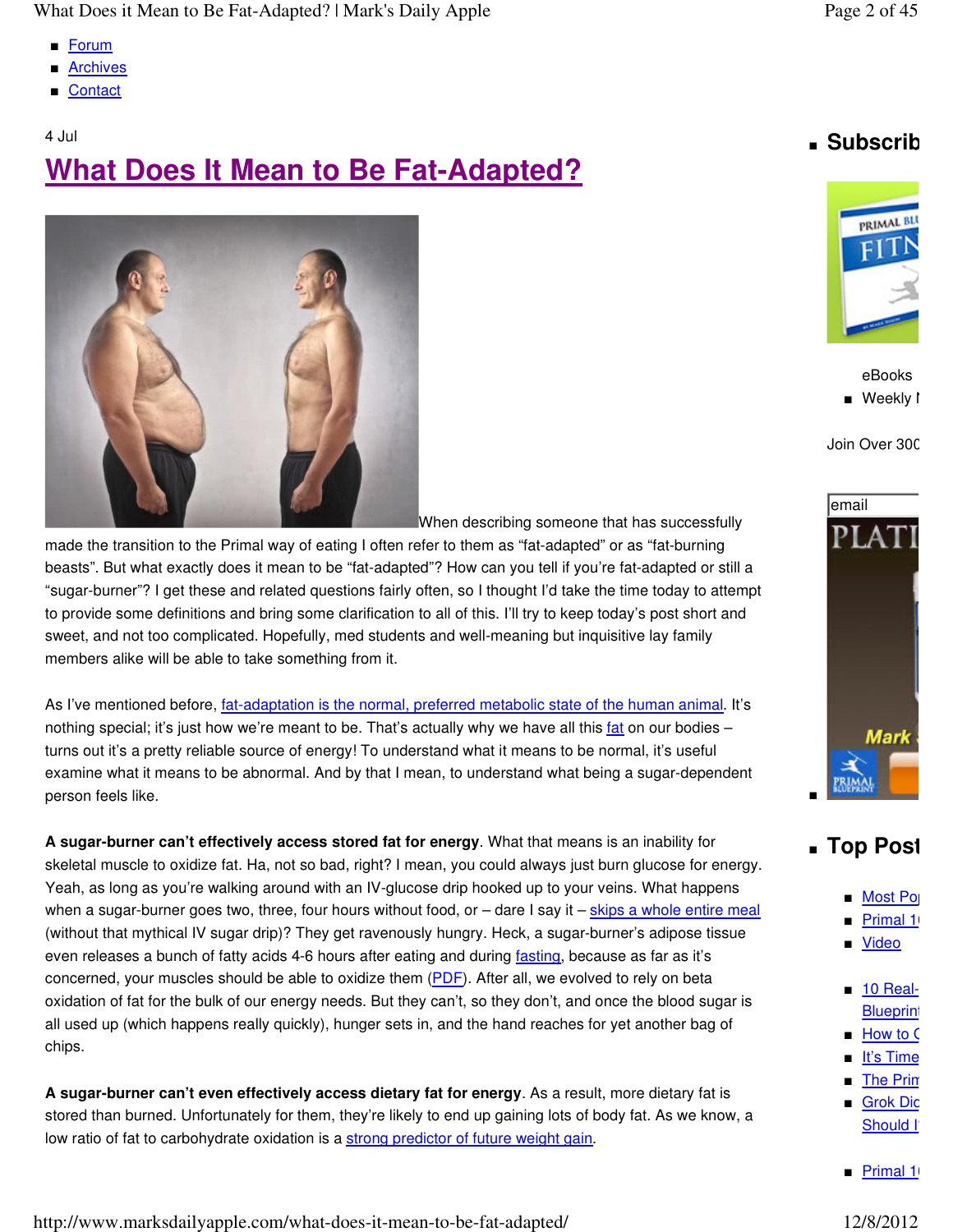What Does it Mean to Be Fat-Adapted? | Mark's Daily Apple Page 2 of 45

- Forum
- **Archives**
- Contact

## 4 Jul **What Does It Mean to Be Fat-Adapted?**



When describing someone that has successfully

made the transition to the Primal way of eating I often refer to them as "fat-adapted" or as "fat-burning beasts". But what exactly does it mean to be "fat-adapted"? How can you tell if you're fat-adapted or still a "sugar-burner"? I get these and related questions fairly often, so I thought I'd take the time today to attempt to provide some definitions and bring some clarification to all of this. I'll try to keep today's post short and sweet, and not too complicated. Hopefully, med students and well-meaning but inquisitive lay family members alike will be able to take something from it.

As I've mentioned before, fat-adaptation is the normal, preferred metabolic state of the human animal. It's nothing special; it's just how we're meant to be. That's actually why we have all this fat on our bodies  $$ turns out it's a pretty reliable source of energy! To understand what it means to be normal, it's useful examine what it means to be abnormal. And by that I mean, to understand what being a sugar-dependent person feels like.

**A sugar-burner can't effectively access stored fat for energy**. What that means is an inability for skeletal muscle to oxidize fat. Ha, not so bad, right? I mean, you could always just burn glucose for energy. Yeah, as long as you're walking around with an IV-glucose drip hooked up to your veins. What happens when a sugar-burner goes two, three, four hours without food, or  $-$  dare I say it  $-$  skips a whole entire meal (without that mythical IV sugar drip)? They get ravenously hungry. Heck, a sugar-burner's adipose tissue even releases a bunch of fatty acids 4-6 hours after eating and during fasting, because as far as it's concerned, your muscles should be able to oxidize them (PDF). After all, we evolved to rely on beta oxidation of fat for the bulk of our energy needs. But they can't, so they don't, and once the blood sugar is all used up (which happens really quickly), hunger sets in, and the hand reaches for yet another bag of chips.

**A sugar-burner can't even effectively access dietary fat for energy**. As a result, more dietary fat is stored than burned. Unfortunately for them, they're likely to end up gaining lots of body fat. As we know, a low ratio of fat to carbohydrate oxidation is a strong predictor of future weight gain.

## ■ **Subscribe**



eBooks ■ Weekly I

Join Over 300



## ■ **Top Post**

- Most Pop
- Primal 1
- Video
- 10 Real-**Blueprint**
- How to C
- It's Time
- The Print
- Grok Dic Should I<sup>®</sup>
- Primal 1

http://www.marksdailyapple.com/what-does-it-mean-to-be-fat-adapted/ 12/8/2012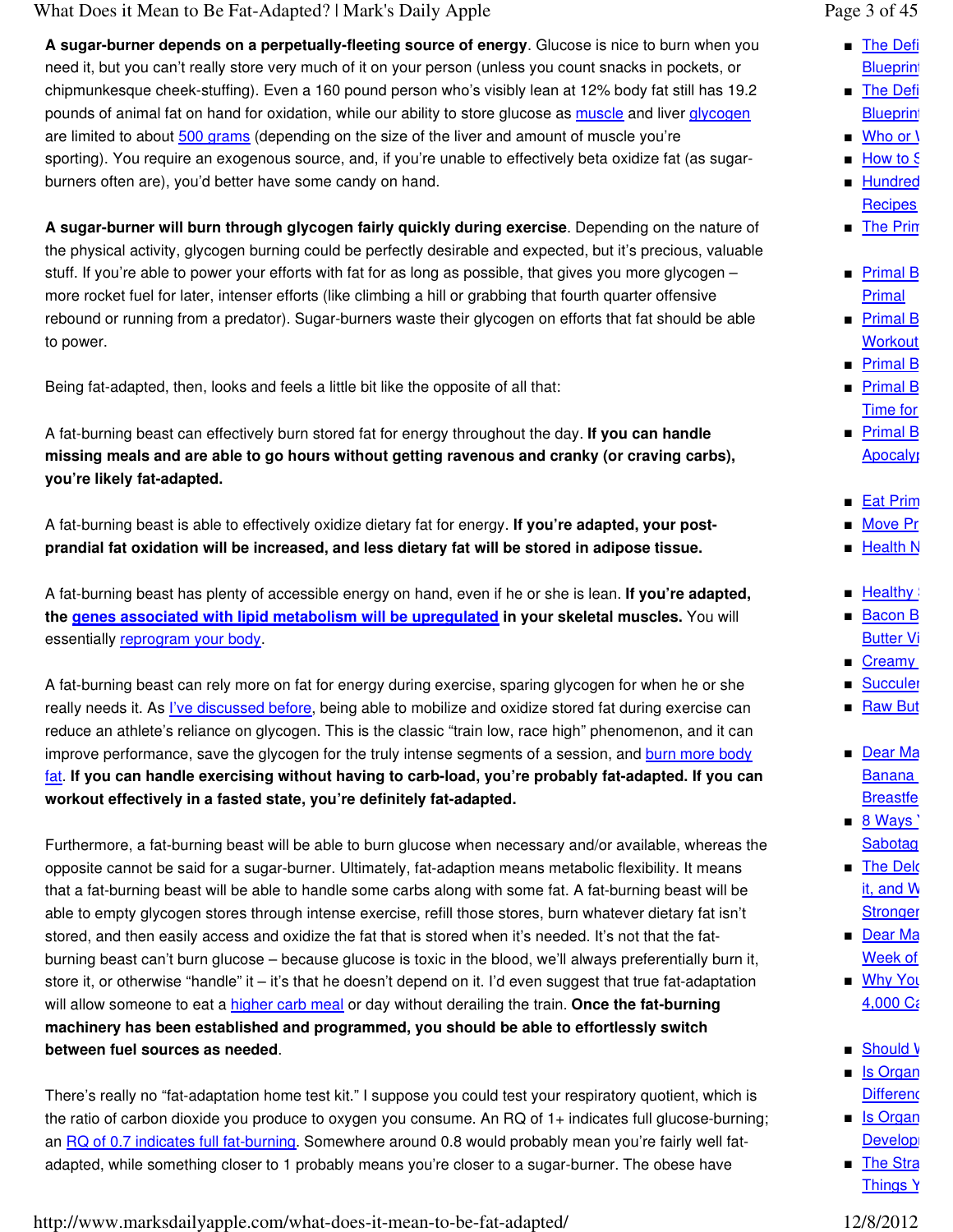#### What Does it Mean to Be Fat-Adapted? | Mark's Daily Apple Page 3 of 45

**A sugar-burner depends on a perpetually-fleeting source of energy**. Glucose is nice to burn when you need it, but you can't really store very much of it on your person (unless you count snacks in pockets, or chipmunkesque cheek-stuffing). Even a 160 pound person who's visibly lean at 12% body fat still has 19.2 pounds of animal fat on hand for oxidation, while our ability to store glucose as muscle and liver glycogen are limited to about 500 grams (depending on the size of the liver and amount of muscle you're sporting). You require an exogenous source, and, if you're unable to effectively beta oxidize fat (as sugarburners often are), you'd better have some candy on hand.

**A sugar-burner will burn through glycogen fairly quickly during exercise**. Depending on the nature of the physical activity, glycogen burning could be perfectly desirable and expected, but it's precious, valuable stuff. If you're able to power your efforts with fat for as long as possible, that gives you more glycogen more rocket fuel for later, intenser efforts (like climbing a hill or grabbing that fourth quarter offensive rebound or running from a predator). Sugar-burners waste their glycogen on efforts that fat should be able to power.

Being fat-adapted, then, looks and feels a little bit like the opposite of all that:

A fat-burning beast can effectively burn stored fat for energy throughout the day. **If you can handle missing meals and are able to go hours without getting ravenous and cranky (or craving carbs), you're likely fat-adapted.**

A fat-burning beast is able to effectively oxidize dietary fat for energy. **If you're adapted, your postprandial fat oxidation will be increased, and less dietary fat will be stored in adipose tissue.**

A fat-burning beast has plenty of accessible energy on hand, even if he or she is lean. **If you're adapted, the genes associated with lipid metabolism will be upregulated in your skeletal muscles.** You will essentially reprogram your body.

A fat-burning beast can rely more on fat for energy during exercise, sparing glycogen for when he or she really needs it. As *l've discussed before*, being able to mobilize and oxidize stored fat during exercise can reduce an athlete's reliance on glycogen. This is the classic "train low, race high" phenomenon, and it can improve performance, save the glycogen for the truly intense segments of a session, and burn more body fat. **If you can handle exercising without having to carb-load, you're probably fat-adapted. If you can workout effectively in a fasted state, you're definitely fat-adapted.**

Furthermore, a fat-burning beast will be able to burn glucose when necessary and/or available, whereas the opposite cannot be said for a sugar-burner. Ultimately, fat-adaption means metabolic flexibility. It means that a fat-burning beast will be able to handle some carbs along with some fat. A fat-burning beast will be able to empty glycogen stores through intense exercise, refill those stores, burn whatever dietary fat isn't stored, and then easily access and oxidize the fat that is stored when it's needed. It's not that the fatburning beast can't burn glucose – because glucose is toxic in the blood, we'll always preferentially burn it, store it, or otherwise "handle" it – it's that he doesn't depend on it. I'd even suggest that true fat-adaptation will allow someone to eat a higher carb meal or day without derailing the train. **Once the fat-burning machinery has been established and programmed, you should be able to effortlessly switch between fuel sources as needed**.

There's really no "fat-adaptation home test kit." I suppose you could test your respiratory quotient, which is the ratio of carbon dioxide you produce to oxygen you consume. An RQ of 1+ indicates full glucose-burning; an RQ of 0.7 indicates full fat-burning. Somewhere around 0.8 would probably mean you're fairly well fatadapted, while something closer to 1 probably means you're closer to a sugar-burner. The obese have

http://www.marksdailyapple.com/what-does-it-mean-to-be-fat-adapted/ 12/8/2012

- The Defi **Blueprint**
- The Defi **Blueprint**
- $\blacksquare$  Who or \
- How to S
- Hundred **Recipes**
- The Print
- Primal B Primal
- Primal B **Workout**
- <u>Primal</u> B
- Primal B **Time for**
- Primal B Apocaly
- Eat Prim
- Move Pr
- Health N
- Healthy
- Bacon B **Butter Vi**
- Creamy ■ Succulent
- Raw But
- Dear Ma **Banana Breastfe**
- <mark>8 Ways `</mark> Sabotag
- The Delo it, and  $W$ **Stronger**
- Dear Ma Week of
- <mark>Why You</mark>  $4,000$   $C_6$
- Should V
- <u>Is Organ</u> Differenc
- <u>Is Organ</u> Development
- The Strai Things Y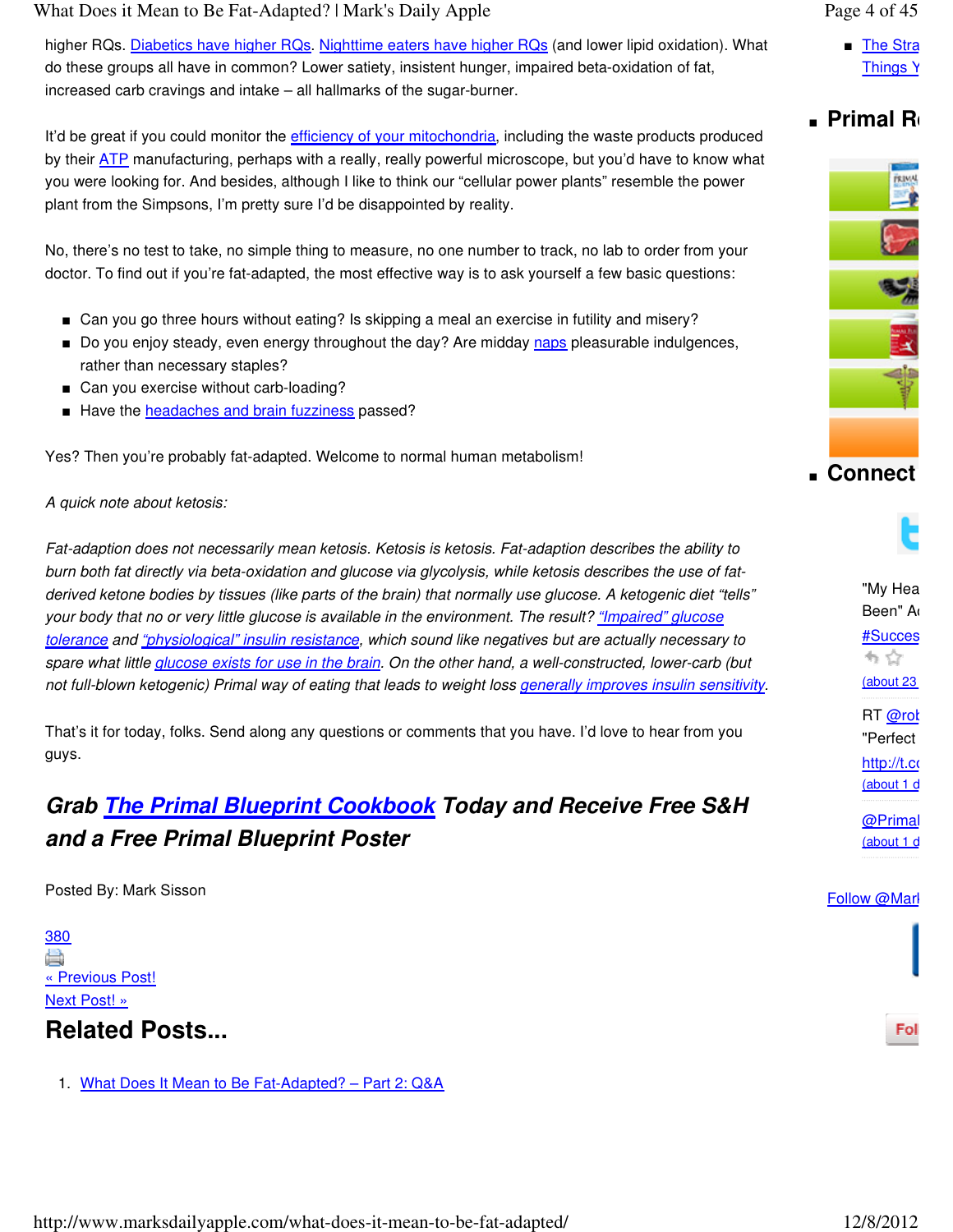#### What Does it Mean to Be Fat-Adapted? | Mark's Daily Apple Page 4 of 45

higher RQs. Diabetics have higher RQs. Nighttime eaters have higher RQs (and lower lipid oxidation). What do these groups all have in common? Lower satiety, insistent hunger, impaired beta-oxidation of fat, increased carb cravings and intake – all hallmarks of the sugar-burner.

It'd be great if you could monitor the *efficiency of your mitochondria*, including the waste products produced by their ATP manufacturing, perhaps with a really, really powerful microscope, but you'd have to know what you were looking for. And besides, although I like to think our "cellular power plants" resemble the power plant from the Simpsons, I'm pretty sure I'd be disappointed by reality.

No, there's no test to take, no simple thing to measure, no one number to track, no lab to order from your doctor. To find out if you're fat-adapted, the most effective way is to ask yourself a few basic questions:

- Can you go three hours without eating? Is skipping a meal an exercise in futility and misery?
- Do you enjoy steady, even energy throughout the day? Are midday naps pleasurable indulgences, rather than necessary staples?
- Can you exercise without carb-loading?
- Have the headaches and brain fuzziness passed?

Yes? Then you're probably fat-adapted. Welcome to normal human metabolism!

A quick note about ketosis:

Fat-adaption does not necessarily mean ketosis. Ketosis is ketosis. Fat-adaption describes the ability to burn both fat directly via beta-oxidation and glucose via glycolysis, while ketosis describes the use of fatderived ketone bodies by tissues (like parts of the brain) that normally use glucose. A ketogenic diet "tells" your body that no or very little glucose is available in the environment. The result? "Impaired" glucose tolerance and "physiological" insulin resistance, which sound like negatives but are actually necessary to spare what little glucose exists for use in the brain. On the other hand, a well-constructed, lower-carb (but not full-blown ketogenic) Primal way of eating that leads to weight loss generally improves insulin sensitivity.

That's it for today, folks. Send along any questions or comments that you have. I'd love to hear from you guys.

## **Grab The Primal Blueprint Cookbook Today and Receive Free S&H and a Free Primal Blueprint Poster**

Posted By: Mark Sisson

380 A « Previous Post! Next Post! » **Related Posts...**

1. What Does It Mean to Be Fat-Adapted? – Part 2: Q&A

■ The Strai Things Y

## ■ **Primal R**



### ■ **Connect**



"My Hea Been" A #Succes もな  $(about 23)$ RT @rob

"Perfect http://t.co  $(about 1 d)$ 

@Primal  $(about 1 d)$ 

Follow @Marl

Fol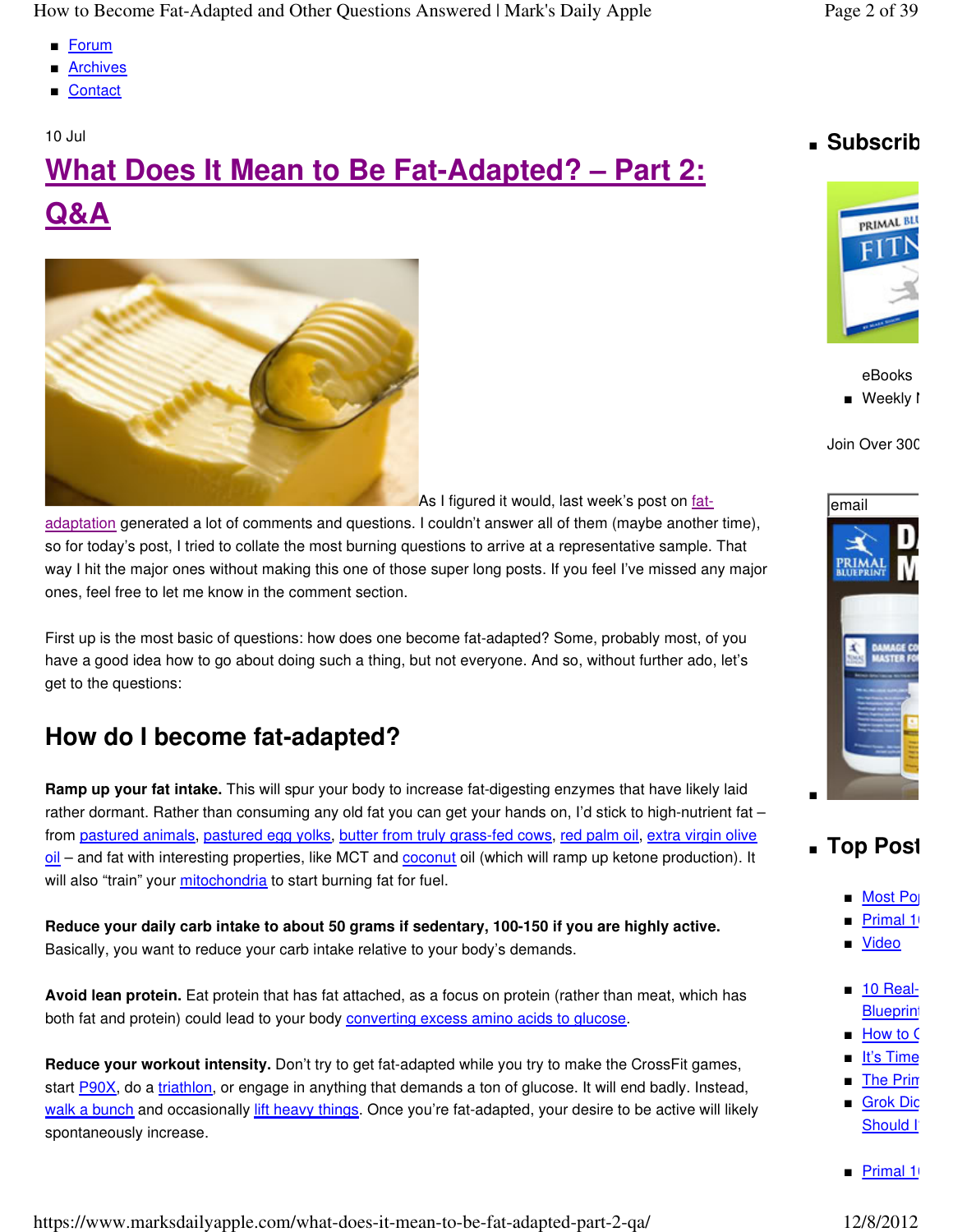- Forum
- **Archives**
- Contact

#### 10 Jul

# **What Does It Mean to Be Fat-Adapted? – Part 2: Q&A**



As I figured it would, last week's post on fat-

adaptation generated a lot of comments and questions. I couldn't answer all of them (maybe another time), so for today's post, I tried to collate the most burning questions to arrive at a representative sample. That way I hit the major ones without making this one of those super long posts. If you feel I've missed any major ones, feel free to let me know in the comment section.

First up is the most basic of questions: how does one become fat-adapted? Some, probably most, of you have a good idea how to go about doing such a thing, but not everyone. And so, without further ado, let's get to the questions:

## **How do I become fat-adapted?**

**Ramp up your fat intake.** This will spur your body to increase fat-digesting enzymes that have likely laid rather dormant. Rather than consuming any old fat you can get your hands on, I'd stick to high-nutrient fat – from pastured animals, pastured egg yolks, butter from truly grass-fed cows, red palm oil, extra virgin olive oil – and fat with interesting properties, like MCT and coconut oil (which will ramp up ketone production). It will also "train" your mitochondria to start burning fat for fuel.

**Reduce your daily carb intake to about 50 grams if sedentary, 100-150 if you are highly active.** Basically, you want to reduce your carb intake relative to your body's demands.

**Avoid lean protein.** Eat protein that has fat attached, as a focus on protein (rather than meat, which has both fat and protein) could lead to your body converting excess amino acids to glucose.

**Reduce your workout intensity.** Don't try to get fat-adapted while you try to make the CrossFit games, start P90X, do a triathlon, or engage in anything that demands a ton of glucose. It will end badly. Instead, walk a bunch and occasionally lift heavy things. Once you're fat-adapted, your desire to be active will likely spontaneously increase.

## ■ Subscrib



eBooks ■ Weekly I

Join Over 300



## ■ **Top Post**

- Most Po
- **Primal 1**
- Video
- 10 Real-**Blueprint**
- How to C
- It's Time
- The Print
- Grok Dic Should I<sup>®</sup>
- Primal 1

https://www.marksdailyapple.com/what-does-it-mean-to-be-fat-adapted-part-2-qa/ 12/8/2012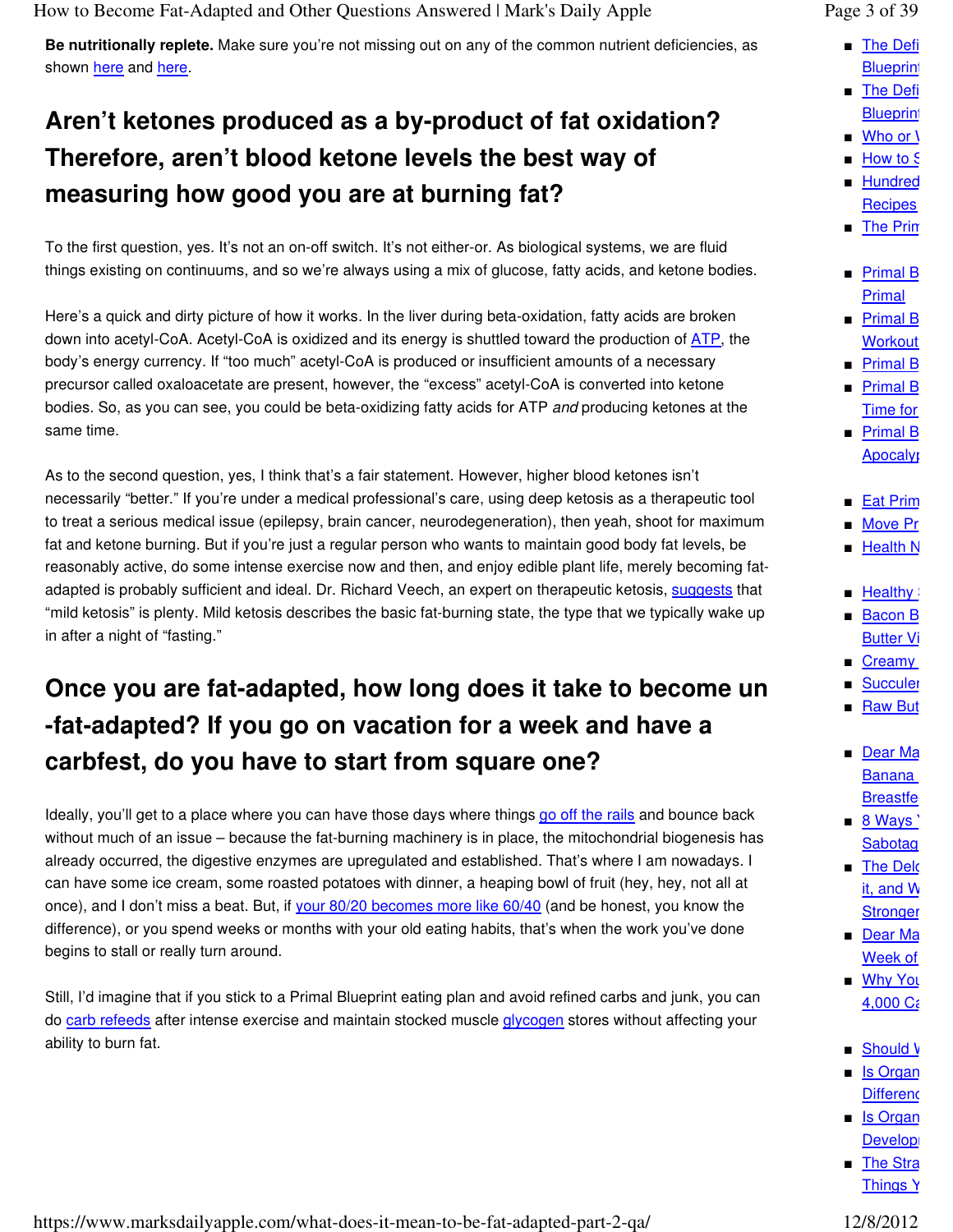How to Become Fat-Adapted and Other Questions Answered | Mark's Daily Apple Page 3 of 39

**Be nutritionally replete.** Make sure you're not missing out on any of the common nutrient deficiencies, as shown here and here.

## **Aren't ketones produced as a by-product of fat oxidation? Therefore, aren't blood ketone levels the best way of measuring how good you are at burning fat?**

To the first question, yes. It's not an on-off switch. It's not either-or. As biological systems, we are fluid things existing on continuums, and so we're always using a mix of glucose, fatty acids, and ketone bodies.

Here's a quick and dirty picture of how it works. In the liver during beta-oxidation, fatty acids are broken down into acetyl-CoA. Acetyl-CoA is oxidized and its energy is shuttled toward the production of ATP, the body's energy currency. If "too much" acetyl-CoA is produced or insufficient amounts of a necessary precursor called oxaloacetate are present, however, the "excess" acetyl-CoA is converted into ketone bodies. So, as you can see, you could be beta-oxidizing fatty acids for ATP and producing ketones at the same time.

As to the second question, yes, I think that's a fair statement. However, higher blood ketones isn't necessarily "better." If you're under a medical professional's care, using deep ketosis as a therapeutic tool to treat a serious medical issue (epilepsy, brain cancer, neurodegeneration), then yeah, shoot for maximum fat and ketone burning. But if you're just a regular person who wants to maintain good body fat levels, be reasonably active, do some intense exercise now and then, and enjoy edible plant life, merely becoming fatadapted is probably sufficient and ideal. Dr. Richard Veech, an expert on therapeutic ketosis, suggests that "mild ketosis" is plenty. Mild ketosis describes the basic fat-burning state, the type that we typically wake up in after a night of "fasting."

## **Once you are fat-adapted, how long does it take to become un -fat-adapted? If you go on vacation for a week and have a carbfest, do you have to start from square one?**

Ideally, you'll get to a place where you can have those days where things go off the rails and bounce back without much of an issue – because the fat-burning machinery is in place, the mitochondrial biogenesis has already occurred, the digestive enzymes are upregulated and established. That's where I am nowadays. I can have some ice cream, some roasted potatoes with dinner, a heaping bowl of fruit (hey, hey, not all at once), and I don't miss a beat. But, if your 80/20 becomes more like 60/40 (and be honest, you know the difference), or you spend weeks or months with your old eating habits, that's when the work you've done begins to stall or really turn around.

Still, I'd imagine that if you stick to a Primal Blueprint eating plan and avoid refined carbs and junk, you can do carb refeeds after intense exercise and maintain stocked muscle glycogen stores without affecting your ability to burn fat.

- The Defi **Blueprint**
- The Defi
- **Blueprint**
- $\blacksquare$  Who or \
- How to S
- Hundred **Recipes**
- The Print
- Primal B Primal
- Primal B **Workout**
- Primal B
- Primal B **Time for**
- Primal B **Apocaly**
- Eat Prim
- Move Pr
- Health N
- Healthy
- Bacon B **Butter Vi**
- Creamv
- **Succuler** ■ Raw But
- Dear Ma **Banana Breastfe**
- <mark>8 Ways `</mark> Sabotag
- The Delo it, and  $W$ **Stronger**
- Dear Ma Week of
- <mark>Why You</mark>  $4,000$  Ca
- Should V
- <u>Is Organ</u> **Difference**
- <u>Is Organ</u> Develop
- The Strai Things Y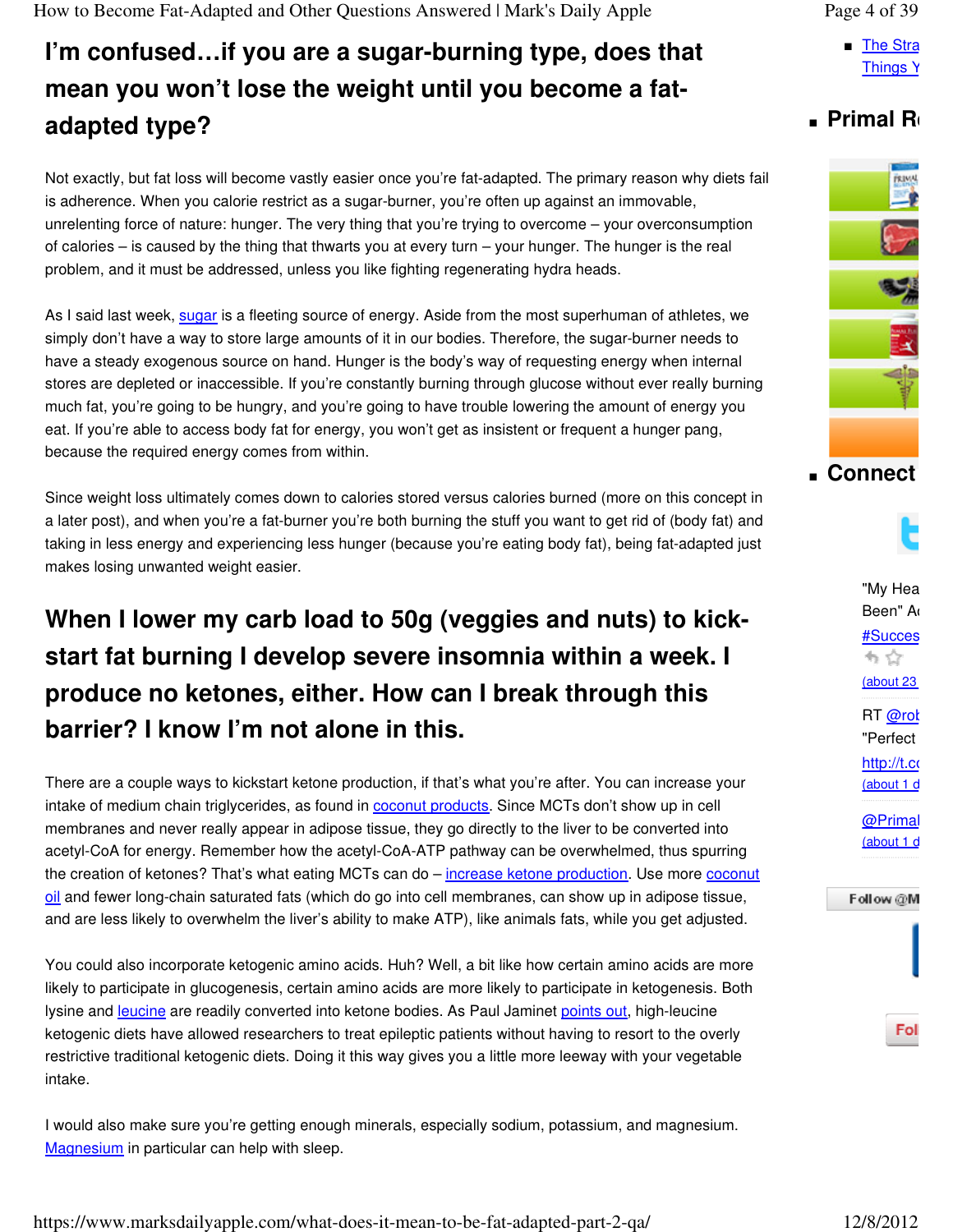How to Become Fat-Adapted and Other Questions Answered | Mark's Daily Apple Page 4 of 39

## **I'm confused…if you are a sugar-burning type, does that mean you won't lose the weight until you become a fatadapted type?**

Not exactly, but fat loss will become vastly easier once you're fat-adapted. The primary reason why diets fail is adherence. When you calorie restrict as a sugar-burner, you're often up against an immovable, unrelenting force of nature: hunger. The very thing that you're trying to overcome – your overconsumption of calories – is caused by the thing that thwarts you at every turn – your hunger. The hunger is the real problem, and it must be addressed, unless you like fighting regenerating hydra heads.

As I said last week, sugar is a fleeting source of energy. Aside from the most superhuman of athletes, we simply don't have a way to store large amounts of it in our bodies. Therefore, the sugar-burner needs to have a steady exogenous source on hand. Hunger is the body's way of requesting energy when internal stores are depleted or inaccessible. If you're constantly burning through glucose without ever really burning much fat, you're going to be hungry, and you're going to have trouble lowering the amount of energy you eat. If you're able to access body fat for energy, you won't get as insistent or frequent a hunger pang, because the required energy comes from within.

Since weight loss ultimately comes down to calories stored versus calories burned (more on this concept in a later post), and when you're a fat-burner you're both burning the stuff you want to get rid of (body fat) and taking in less energy and experiencing less hunger (because you're eating body fat), being fat-adapted just makes losing unwanted weight easier.

## **When I lower my carb load to 50g (veggies and nuts) to kickstart fat burning I develop severe insomnia within a week. I produce no ketones, either. How can I break through this barrier? I know I'm not alone in this.**

There are a couple ways to kickstart ketone production, if that's what you're after. You can increase your intake of medium chain triglycerides, as found in coconut products. Since MCTs don't show up in cell membranes and never really appear in adipose tissue, they go directly to the liver to be converted into acetyl-CoA for energy. Remember how the acetyl-CoA-ATP pathway can be overwhelmed, thus spurring the creation of ketones? That's what eating MCTs can do – increase ketone production. Use more coconut oil and fewer long-chain saturated fats (which do go into cell membranes, can show up in adipose tissue, and are less likely to overwhelm the liver's ability to make ATP), like animals fats, while you get adjusted.

You could also incorporate ketogenic amino acids. Huh? Well, a bit like how certain amino acids are more likely to participate in glucogenesis, certain amino acids are more likely to participate in ketogenesis. Both lysine and leucine are readily converted into ketone bodies. As Paul Jaminet points out, high-leucine ketogenic diets have allowed researchers to treat epileptic patients without having to resort to the overly restrictive traditional ketogenic diets. Doing it this way gives you a little more leeway with your vegetable intake.

I would also make sure you're getting enough minerals, especially sodium, potassium, and magnesium. Magnesium in particular can help with sleep.

■ The Strai Things Y

## ■ **Primal R**



### ■ **Connect**

с

"My Hea Been" A #Succes もな  $(about 23)$ RT @rob

"Perfect http:// $t$ .co  $(about 1 d)$ 

@Primal  $(about 1 d)$ 

Follow@M